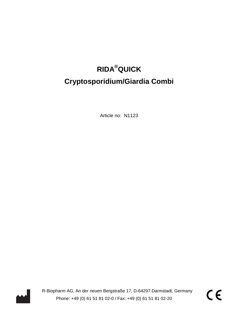# **RIDA®QUICK Cryptosporidium/Giardia Combi**

Article no: N1123



R-Biopharm AG, An der neuen Bergstraße 17, D-64297 Darmstadt, Germany<br>Phone: +49 (0) 61 51 81 02-0 / Fax: +49 (0) 61 51 81 02-20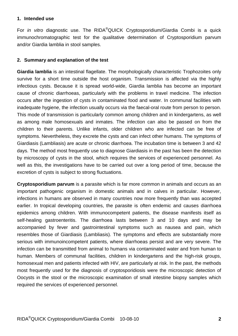#### **1. Intended use**

For *in vitro* diagnostic use. The RIDA<sup>®</sup>QUICK Cryptosporidium/Giardia Combi is a quick immunochromatographic test for the qualitative determination of Cryptosporidium parvum and/or Giardia lamblia in stool samples.

## **2. Summary and explanation of the test**

**Giardia lamblia** is an intestinal flagellate. The morphologically characteristic Trophozoites only survive for a short time outside the host organism. Transmission is affected via the highly infectious cysts. Because it is spread world-wide, Giardia lamblia has become an important cause of chronic diarrhoeas, particularly with the problems in travel medicine. The infection occurs after the ingestion of cysts in contaminated food and water. In communal facilities with inadequate hygiene, the infection usually occurs via the faecal-oral route from person to person. This mode of transmission is particularly common among children and in kindergartens, as well as among male homosexuals and inmates. The infection can also be passed on from the children to their parents. Unlike infants, older children who are infected can be free of symptoms. Nevertheless, they excrete the cysts and can infect other humans. The symptoms of Giardiasis (Lambliasis) are acute or chronic diarrhoea. The incubation time is between 3 and 42 days. The method most frequently use to diagnose Giardiasis in the past has been the detection by microscopy of cysts in the stool, which requires the services of experienced personnel. As well as this, the investigations have to be carried out over a long period of time, because the excretion of cysts is subject to strong fluctuations.

**Cryptosporidium parvum** is a parasite which is far more common in animals and occurs as an important pathogenic organism in domestic animals and in calves in particular. However, infections in humans are observed in many countries now more frequently than was accepted earlier. In tropical developing countries, the parasite is often endemic and causes diarrhoea epidemics among children. With immunocompetent patients, the disease manifests itself as self-healing gastroenteritis. The diarrhoea lasts between 3 and 10 days and may be accompanied by fever and gastrointestinal symptoms such as nausea and pain, which resembles those of Giardiasis (Lambliasis). The symptoms and effects are substantially more serious with immunoincompetent patients, where diarrhoeas persist and are very severe. The infection can be transmitted from animal to humans via contaminated water and from human to human. Members of communal facilities, children in kindergartens and the high-risk groups, homosexual men and patients infected with HIV, are particularly at risk. In the past, the methods most frequently used for the diagnosis of cryptosporidiosis were the microscopic detection of Oocysts in the stool or the microscopic examination of small intestine biopsy samples which required the services of experienced personnel.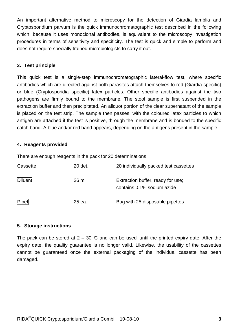An important alternative method to microscopy for the detection of Giardia lamblia and Cryptosporidium parvum is the quick immunochromatographic test described in the following which, because it uses monoclonal antibodies, is equivalent to the microscopy investigation procedures in terms of sensitivity and specificity. The test is quick and simple to perform and does not require specially trained microbiologists to carry it out.

## **3. Test principle**

This quick test is a single-step immunochromatographic lateral-flow test, where specific antibodies which are directed against both parasites attach themselves to red (Giardia specific) or blue (Cryptosporidia specific) latex particles. Other specific antibodies against the two pathogens are firmly bound to the membrane. The stool sample is first suspended in the extraction buffer and then precipitated. An aliquot portion of the clear supernatant of the sample is placed on the test strip. The sample then passes, with the coloured latex particles to which antigen are attached if the test is positive, through the membrane and is bonded to the specific catch band. A blue and/or red band appears, depending on the antigens present in the sample.

## **4. Reagents provided**

There are enough reagents in the pack for 20 determinations.

| Cassette | 20 det. | 20 individually packed test cassettes                           |  |  |
|----------|---------|-----------------------------------------------------------------|--|--|
| Diluent  | 26 ml   | Extraction buffer, ready for use;<br>contains 0.1% sodium azide |  |  |
| Pipet    | 25 ea   | Bag with 25 disposable pipettes                                 |  |  |

# **5. Storage instructions**

The pack can be stored at  $2 - 30$  °C and can be used until the printed expiry date. After the expiry date, the quality guarantee is no longer valid. Likewise, the usability of the cassettes cannot be guaranteed once the external packaging of the individual cassette has been damaged.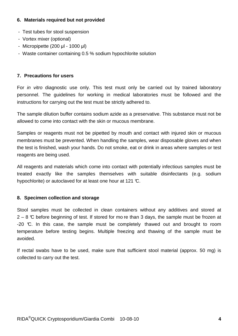# **6. Materials required but not provided**

- Test tubes for stool suspension
- Vortex mixer (optional)
- Micropipette (200 µl 1000 µl)
- Waste container containing 0.5 % sodium hypochlorite solution

# **7. Precautions for users**

For *in vitro* diagnostic use only. This test must only be carried out by trained laboratory personnel. The guidelines for working in medical laboratories must be followed and the instructions for carrying out the test must be strictly adhered to.

The sample dilution buffer contains sodium azide as a preservative. This substance must not be allowed to come into contact with the skin or mucous membrane.

Samples or reagents must not be pipetted by mouth and contact with injured skin or mucous membranes must be prevented. When handling the samples, wear disposable gloves and when the test is finished, wash your hands. Do not smoke, eat or drink in areas where samples or test reagents are being used.

All reagents and materials which come into contact with potentially infectious samples must be treated exactly like the samples themselves with suitable disinfectants (e.g. sodium hypochlorite) or autoclaved for at least one hour at 121 °C.

# **8. Specimen collection and storage**

Stool samples must be collected in clean containers without any additives and stored at  $2 - 8$  °C before beginning of test. If stored for mo re than 3 days, the sample must be frozen at -20 °C. In this case, the sample must be completely thawed out and brought to room temperature before testing begins. Multiple freezing and thawing of the sample must be avoided.

If rectal swabs have to be used, make sure that sufficient stool material (approx. 50 mg) is collected to carry out the test.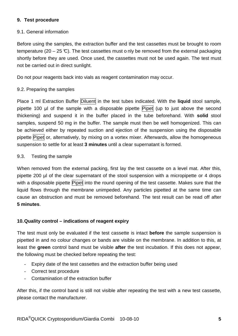## **9. Test procedure**

## 9.1. General information

Before using the samples, the extraction buffer and the test cassettes must be brought to room temperature (20 – 25 °C). The test cassettes must o nly be removed from the external packaging shortly before they are used. Once used, the cassettes must not be used again. The test must not be carried out in direct sunlight.

Do not pour reagents back into vials as reagent contamination may occur.

## 9.2. Preparing the samples

Place 1 ml Extraction Buffer Diluent in the test tubes indicated. With the **liquid** stool sample, pipette 100 µl of the sample with a disposable pipette Pipet (up to just above the second thickening) and suspend it in the buffer placed in the tube beforehand. With **solid** stool samples, suspend 50 mg in the buffer. The sample must then be well homogenized. This can be achieved either by repeated suction and ejection of the suspension using the disposable pipette Pipet or, alternatively, by mixing on a vortex mixer. Afterwards, allow the homogeneous suspension to settle for at least **3 minutes** until a clear supernatant is formed.

## 9.3. Testing the sample

When removed from the external packing, first lay the test cassette on a level mat. After this, pipette 200 µl of the clear supernatant of the stool suspension with a micropipette or 4 drops with a disposable pipette Pipet into the round opening of the test cassette. Makes sure that the liquid flows through the membrane unimpeded. Any particles pipetted at the same time can cause an obstruction and must be removed beforehand. The test result can be read off after **5 minutes**.

# **10. Quality control – indications of reagent expiry**

The test must only be evaluated if the test cassette is intact **before** the sample suspension is pipetted in and no colour changes or bands are visible on the membrane. In addition to this, at least the **green** control band must be visible **after** the test incubation. If this does not appear, the following must be checked before repeating the test:

- Expiry date of the test cassettes and the extraction buffer being used
- Correct test procedure
- Contamination of the extraction buffer

After this, if the control band is still not visible after repeating the test with a new test cassette, please contact the manufacturer.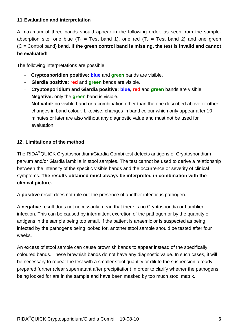# **11. Evaluation and interpretation**

A maximum of three bands should appear in the following order, as seen from the sampleabsorption site: one blue  $(T_1 = Test$  band 1), one red  $(T_2 = Test$  band 2) and one green (C = Control band) band. **If the green control band is missing, the test is invalid and cannot be evaluated!** 

The following interpretations are possible:

- - **Cryptosporidien positive: blue** and **green** bands are visible.
- **Giardia positive: red** and **green** bands are visible.
- **Cryptosporidium and Giardia positive: blue, red** and **green** bands are visible.
- **Negative:** only the **green** band is visible.
- **Not valid:** no visible band or a combination other than the one described above or other changes in band colour. Likewise, changes in band colour which only appear after 10 minutes or later are also without any diagnostic value and must not be used for evaluation.

# **12. Limitations of the method**

The RIDA®QUICK Cryptosporidium/Giardia Combi test detects antigens of Cryptosporidium parvum and/or Giardia lamblia in stool samples. The test cannot be used to derive a relationship between the intensity of the specific visible bands and the occurrence or severity of clinical symptoms. **The results obtained must always be interpreted in combination with the clinical picture.** 

A **positive** result does not rule out the presence of another infectious pathogen.

A **negative** result does not necessarily mean that there is no Cryptosporidia or Lamblien infection. This can be caused by intermittent excretion of the pathogen or by the quantity of antigens in the sample being too small. If the patient is anaemic or is suspected as being infected by the pathogens being looked for, another stool sample should be tested after four weeks.

An excess of stool sample can cause brownish bands to appear instead of the specifically coloured bands. These brownish bands do not have any diagnostic value. In such cases, it will be necessary to repeat the test with a smaller stool quantity or dilute the suspension already prepared further (clear supernatant after precipitation) in order to clarify whether the pathogens being looked for are in the sample and have been masked by too much stool matrix.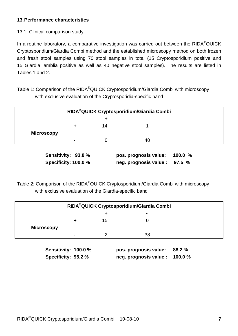# **13. Performance characteristics**

13.1. Clinical comparison study

In a routine laboratory, a comparative investigation was carried out between the RIDA<sup>®</sup>QUICK Cryptosporidium/Giardia Combi method and the established microscopy method on both frozen and fresh stool samples using 70 stool samples in total (15 Cryptosporidium positive and 15 Giardia lamblia positive as well as 40 negative stool samples). The results are listed in Tables 1 and 2.

Table 1: Comparison of the RIDA<sup>®</sup>QUICK Cryptosporidium/Giardia Combi with microscopy with exclusive evaluation of the Cryptosporidia-specific band

| RIDA <sup>®</sup> QUICK Cryptosporidium/Giardia Combi |   |    |    |  |  |  |
|-------------------------------------------------------|---|----|----|--|--|--|
|                                                       |   | ٠  |    |  |  |  |
|                                                       |   | 14 |    |  |  |  |
| <b>Microscopy</b>                                     |   |    |    |  |  |  |
|                                                       | - |    | 40 |  |  |  |
| $\lambda$                                             |   |    |    |  |  |  |

**Sensitivity: 93.8 % pos. prognosis value: 100.0 % Specificity: 100.0 % neg. prognosis value : 97.5 %** 

Table 2: Comparison of the RIDA®QUICK Cryptosporidium/Giardia Combi with microscopy with exclusive evaluation of the Giardia-specific band

| RIDA <sup>®</sup> QUICK Cryptosporidium/Giardia Combi |  |    |                       |        |  |  |
|-------------------------------------------------------|--|----|-----------------------|--------|--|--|
|                                                       |  | +  |                       |        |  |  |
|                                                       |  | 15 |                       |        |  |  |
| <b>Microscopy</b>                                     |  |    |                       |        |  |  |
|                                                       |  |    | 38                    |        |  |  |
| Sensitivity: 100.0 %                                  |  |    | pos. prognosis value: | 88.2 % |  |  |

**Specificity: 95.2 % neg. prognosis value : 100.0 %**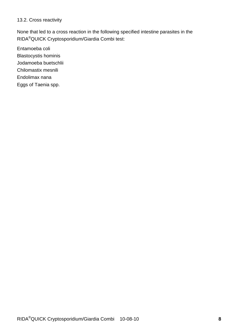## 13.2. Cross reactivity

None that led to a cross reaction in the following specified intestine parasites in the RIDA®QUICK Cryptosporidium/Giardia Combi test:

Entamoeba coli Blastocystis hominis Jodamoeba buetschlii Chilomastix mesnili Endolimax nana Eggs of Taenia spp.